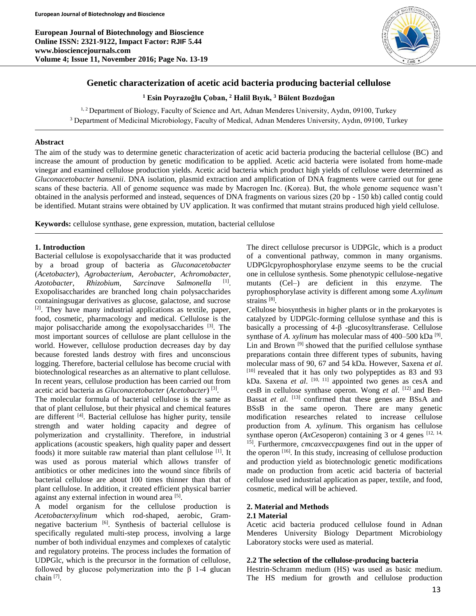**European Journal of Biotechnology and Bioscience Online ISSN: 2321-9122, Impact Factor: RJIF 5.44 www.biosciencejournals.com Volume 4; Issue 11, November 2016; Page No. 13-19**



# **Genetic characterization of acetic acid bacteria producing bacterial cellulose**

**<sup>1</sup> Esin Poyrazoğlu Çoban, <sup>2</sup> Halil Bıyık, <sup>3</sup> Bülent Bozdoğan**

 $1, 2$  Department of Biology, Faculty of Science and Art, Adnan Menderes University, Aydın, 09100, Turkey <sup>3</sup> Department of Medicinal Microbiology, Faculty of Medical, Adnan Menderes University, Aydın, 09100, Turkey

#### **Abstract**

The aim of the study was to determine genetic characterization of acetic acid bacteria producing the bacterial cellulose (BC) and increase the amount of production by genetic modification to be applied. Acetic acid bacteria were isolated from home-made vinegar and examined cellulose production yields. Acetic acid bacteria which product high yields of cellulose were determined as *Gluconacetobacter hansenii*. DNA isolation, plasmid extraction and amplification of DNA fragments were carried out for gene scans of these bacteria. All of genome sequence was made by Macrogen Inc. (Korea). But, the whole genome sequence wasn't obtained in the analysis performed and instead, sequences of DNA fragments on various sizes (20 bp - 150 kb) called contig could be identified. Mutant strains were obtained by UV application. It was confirmed that mutant strains produced high yield cellulose.

**Keywords:** cellulose synthase, gene expression, mutation, bacterial cellulose

#### **1. Introduction**

Bacterial cellulose is exopolysaccharide that it was producted by a broad group of bacteria as *Gluconacetobacter*  (*Acetobacter*), *Agrobacterium*, *Aerobacter*, *Achromobacter*, *Azotobacter*, *Rhizobium*, *Sarcina*ve *Salmonella* [1] . Exopolisaccharides are branched long chain polysaccharides containingsugar derivatives as glucose, galactose, and sucrose  $[2]$ . They have many industrial applications as textile, paper, food, cosmetic, pharmacology and medical. Cellulose is the major polisaccharide among the exopolysaccharides [3]. The most important sources of cellulose are plant cellulose in the world. However, cellulose production decreases day by day because forested lands destroy with fires and unconscious logging. Therefore, bacterial cellulose has become crucial with biotechnological researches as an alternative to plant cellulose. In recent years, cellulose production has been carried out from acetic acid bacteria as *Gluconacetobacter* (*Acetobacter*) [3] .

The molecular formula of bacterial cellulose is the same as that of plant cellulose, but their physical and chemical features are different <sup>[4]</sup>. Bacterial cellulose has higher purity, tensile strength and water holding capacity and degree of polymerization and crystallinity. Therefore, in industrial applications (acoustic speakers, high quality paper and dessert foods) it more suitable raw material than plant cellulose [1]. It was used as porous material which allows transfer of antibiotics or other medicines into the wound since fibrils of bacterial cellulose are about 100 times thinner than that of plant cellulose. In addition, it created efficient physical barrier against any external infection in wound area<sup>[5]</sup>.

A model organism for the cellulose production is *Acetobacterxylinum* which rod-shaped, aerobic, Gramnegative bacterium <sup>[6]</sup>. Synthesis of bacterial cellulose is specifically regulated multi-step process, involving a large number of both individual enzymes and complexes of catalytic and regulatory proteins. The process includes the formation of UDPGlc, which is the precursor in the formation of cellulose, followed by glucose polymerization into the  $\beta$  1-4 glucan chain<sup>[7]</sup>.

The direct cellulose precursor is UDPGlc, which is a product of a conventional pathway, common in many organisms. UDPGlcpyrophosphorylase enzyme seems to be the crucial one in cellulose synthesis. Some phenotypic cellulose-negative mutants (Cel–) are deficient in this enzyme. The pyrophosphorylase activity is different among some *A.xylinum* strains<sup>[8]</sup>.

Cellulose biosynthesis in higher plants or in the prokaryotes is catalyzed by UDPGlc-forming cellulose synthase and this is basically a processing of 4-β -glucosyltransferase. Cellulose synthase of *A. xylinum* has molecular mass of  $400-500$  kDa<sup>[9]</sup>. Lin and Brown<sup>[9]</sup> showed that the purified cellulose synthase preparations contain three different types of subunits, having molecular mass of 90, 67 and 54 kDa. However, Saxena *et al*. [10] revealed that it has only two polypeptides as 83 and 93 kDa. Saxena *et al.* <sup>[10, 11]</sup> appointed two genes as cesA and cesB in cellulose synthase operon. Wong *et al*. [12] and Ben-Bassat *et al.* <sup>[13]</sup> confirmed that these genes are BSsA and BSsB in the same operon. There are many genetic modification researches related to increase cellulose production from *A. xylinum*. This organism has cellulose synthase operon  $(AxCesopen)$  containing 3 or 4 genes  $[12, 14, 14]$ 15]. Furthermore, *cmcax*ve*ccpax*genes find out in the upper of the operon [16]. In this study, increasing of cellulose production and production yield as biotechnologic genetic modifications made on production from acetic acid bacteria of bacterial cellulose used industrial application as paper, textile, and food, cosmetic, medical will be achieved.

# **2. Material and Methods**

# **2.1 Material**

Acetic acid bacteria produced cellulose found in Adnan Menderes University Biology Department Microbiology Laboratory stocks were used as material.

# **2.2 The selection of the cellulose-producing bacteria**

Hestrin-Schramm medium (HS) was used as basic medium. The HS medium for growth and cellulose production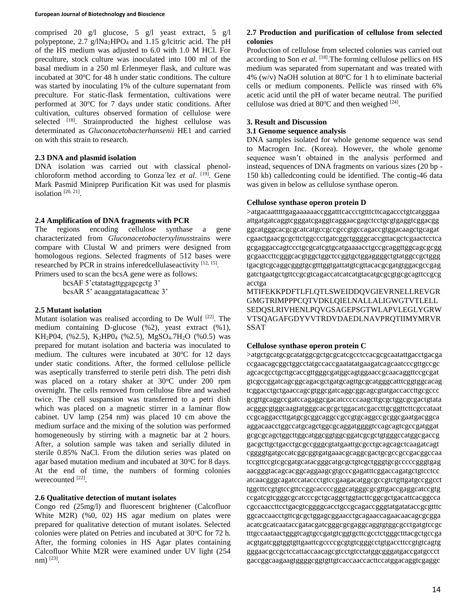#### **European Journal of Biotechnology and Bioscience**

comprised 20 g/l glucose, 5 g/l yeast extract, 5 g/l polypeptone, 2.7 g/lNa2HPO<sup>4</sup> and 1.15 g/lcitric acid. The pH of the HS medium was adjusted to 6.0 with 1.0 M HCl. For preculture, stock culture was inoculated into 100 ml of the basal medium in a 250 ml Erlenmeyer flask, and culture was incubated at 30°C for 48 h under static conditions. The culture was started by inoculating 1% of the culture supernatant from preculture. For static-flask fermentation, cultivations were performed at 30°C for 7 days under static conditions. After cultivation, cultures observed formation of cellulose were selected <sup>[18]</sup>. Strainproducted the highest cellulose was determinated as *Gluconacetobacterhansenii* HE1 and carried on with this strain to research.

#### **2.3 DNA and plasmid isolation**

DNA isolation was carried out with classical phenolchloroform method according to Gonza´lez *et al*. [19]. Gene Mark Pasmid Miniprep Purification Kit was used for plasmis isolation<sup>[20, 21]</sup>.

## **2.4 Amplification of DNA fragments with PCR**

The regions encoding cellulose synthase a gene characterizated from *Gluconacetobacterxylinus*strains were compare with Clustal W and primers were designed from homologous regions. Selected fragments of 512 bases were researched by PCR in strains inferedcellulaseactivity [12, 15]. Primers used to scan the bcsA gene were as follows:

> bcsAF 5'ctatatagttggagcgctg 3' bcsAR 5' acaaggatatagacattcac 3'

#### **2.5 Mutant isolation**

Mutant isolation was realised according to De Wulf [22]. The medium containing D-glucose (%2), yeast extract (%1), KH<sub>2</sub>P04, (%2.5), K<sub>2</sub>HP0<sub>4</sub> (%2.5), MgSO<sub>4</sub>.7H<sub>2</sub>O (%0.5) was prepared for mutant isolation and bacteria was inoculated to medium. The cultures were incubated at  $30^{\circ}$ C for 12 days under static conditions. After, the formed cellulose pellicle was aseptically transferred to sterile petri dish. The petri dish was placed on a rotary shaker at 30°C under 200 rpm overnight. The cells removed from cellulose fibre and washed twice. The cell suspansion was transferred to a petri dish which was placed on a magnetic stirrer in a laminar flow cabinet. UV lamp (254 nm) was placed 10 cm above the medium surface and the mixing of the solution was performed homogeneously by stirring with a magnetic bar at 2 hours. After, a solution sample was taken and serially diluted in sterile 0.85% NaCl. From the dilution series was plated on agar based mutation medium and incubated at  $30^{\circ}$ C for 8 days. At the end of time, the numbers of forming colonies werecounted [22].

#### **2.6 Qualitative detection of mutant isolates**

Congo red (25mg/l) and fluorescent brightener (Calcofluor White M2R) (%0, 02) HS agar medium on plates were prepared for qualitative detection of mutant isolates. Selected colonies were plated on Petries and incubated at 30 °C for 72 h. After, the forming colonies in HS Agar plates containing Calcofluor White M2R were examined under UV light (254 nm) [23] .

# **2.7 Production and purification of cellulose from selected colonies**

Production of cellulose from selected colonies was carried out according to Son *et al*. [18].The forming cellulose pellics on HS medium was separated from supernatant and was treated with 4% (w/v) NaOH solution at 80 $\degree$ C for 1 h to eliminate bacterial cells or medium components. Pellicle was rinsed with 6% acetic acid until the pH of water became neutral. The purified cellulose was dried at  $80^{\circ}$ C and then weighed  $^{[24]}$ .

#### **3. Result and Discussion**

## **3.1 Genome sequence analysis**

DNA samples isolated for whole genome sequence was send to Macrogen Inc. (Korea). However, the whole genome sequence wasn't obtained in the analysis performed and instead, sequences of DNA fragments on various sizes (20 bp - 150 kb) calledconting could be identified. The contig-46 data was given in below as cellulose synthase operon.

#### **Cellulose synthase operon protein D**

>atgacaatttttgagaaaaaaccggatttcaccctgtttcttcagaccctgtcatgggaa attgatgatcaggtcgggatcgaggtcaggaacgagctcctgcgtgaggtcggacgg ggcatgggcacgcgcatcatgccgccgccgtgccagaccgtggacaagctgcagat cgaactgaacgcgcttctggccctgatcggctggggcaccgttacgctcgaactcctca gcgaggaccagtccctgcgcatcgtgcatgaaaacctgccgcaggttggcagcgcgg gcgaaccttcgggcacgtggctggctccggtgctggaggggctgtatggccgctggg tgacgtcgcaggcgggtgcgtttggtgattatgtcgttacacgcgatgtggacgccgag gatctgaatgctgttccgcgtcagaccatcatcatgtacatgcgcgtgcgcagttccgcg acctga

MTIFEKKPDFTLFLQTLSWEIDDQVGIEVRNELLREVGR GMGTRIMPPPCQTVDKLQIELNALLALIGWGTVTLELL SEDQSLRIVHENLPQVGSAGEPSGTWLAPVLEGLYGRW VTSQAGAFGDYVVTRDVDAEDLNAVPRQTIIMYMRVR SSAT

#### **Cellulose synthase operon protein C**

>atgctgcatgcgcatatggcgctgcgcatcgcctccacgcgcaatattgacctgacga ccgaacagcggctggcctatgccaccgaatatatgaagatcagcaatcccgttgccgc agcacgcctgcttgcaccgttgggcgatggcagtggaaccgcaacaggttccgcgat gtcgccggatcagcggcagacgctgatgcagttgcgcatgggcatttcggtggcacag tcggacctgctgaaccagcgtggcgatcaggcggcagcgtatgaccaccttgcgccc gcgttgcaggccgatccagaggcgacatcccccaagcttgcgctggcgcgactgtata acgggcgtggcaagtatgggcacgcgctggacatcgaccttgcggttcttcgccataat ccgcaggaccttgatgcgcggcaggccgccgtgcaggccgcggcgaatgacggca aggacaacctggccatgcagctggcgcaggatggggtccagcagtcgccgatggat gcgcgcagctggcttggcatggcggtggcggatcgcgctgtgggccatggcgaccg gacgcttgctgacctgcgccgggcgtatgaattgcgcctgcagcagctcaagatcagt cggggtgatgccatcggcggtgatgaaacgcaggcgactgcgccgccgacggccaa tccgttccgtcgcgatgcatacgggcatgcgctgtcgctgggtgcgcccccgggtgag aacgggtacagcacggcaggaagcgtgcccgagatttcggaccagatgctgtcctcc atcaacgggcagatccataccctgtccgaagacatggcgccgtctgttgatgccggcct tggcttccgtgtccgttccggcaccccgggcatgggcgcgttgaccgaggcatccgtg ccgatcgtcgggcgcatcccgctgcaggctggtacttcggcgctgacattcacggcca cgccaaccttcctgacgtcggggcacctgccgcagaccgggtatgatataccgcgtttc ggcaccaacctgttcgcgctggagcggaacctgcagaaccagaacaacagcgcgga acatcgcatcaataccgatacgatcgggcgcgaggcaggtgtggcgcctgatgtccgc tttgccaataactgggtcagtgccgatgtcggtgcttcgcctctgggctttacgctgccga acgtgatcggtggtgttgaattcgccccgcgtgtcgggcctgtgaccttccgtgtcagtg gggaacgccgctccattaccaacagcgtcctgtcctatggcgggatgaccgatgccct gaccggcaagaagtggggcggtgttgtcaccaaccacttccatggacaggtcgaggc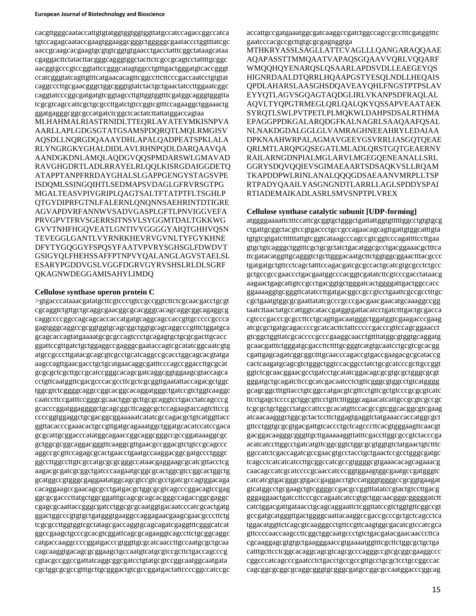cacgttgggcaataccattgtgtatggtggtggtggttatgccatccagaccggccatca tgtccagagcaataccgaagtggaaggcgggctgggggcgaataccctggtttatcgc aaccgcaagcacgaagtgcgtgtcggtgtgaacctgacctatttcggctataagcataa cgaggacttctatacttacgggcagggtggctacttctcgccgcagtcctattttgcggc aacggtgcccgtccggtattccgggcatagtggcctgtttgactgggatgtcaccgggt ccatcgggtatcagttgtttcatgaacacagttcggccttcttcccgaccaatcctgtgtat caggcccttgcgaacgggctggcgggtgtatctactgctgaactatccttggaatcggc caggtatcccggcgatgatgtcggtagccttgttggtggtttcgatggcagggtgggtta tcgcgtcagccattcgctgcgccttgatctgtccggtcgtttccagaaggctggaaactg ggatgagggcggcgccatgatctcggctcactatcttattatggaccagtaa

MLHAHMALRIASTRNIDLTTEQRLAYATEYMKISNPVA AARLLAPLGDGSGTATGSAMSPDQRQTLMQLRMGISV AQSDLLNQRGDQAAAYDHLAPALQADPEATSPKLALA RLYNGRGKYGHALDIDLAVLRHNPQDLDARQAAVQA AANDGKDNLAMQLAQDGVQQSPMDARSWLGMAVAD RAVGHGDRTLADLRRAYELRLQQLKISRGDAIGGDETQ ATAPPTANPFRRDAYGHALSLGAPPGENGYSTAGSVPE ISDQMLSSINGQIHTLSEDMAPSVDAGLGFRVRSGTPG MGALTEASVPIVGRIPLQAGTSALTFTATPTFLTSGHLP QTGYDIPRFGTNLFALERNLQNQNNSAEHRINTDTIGRE AGVAPDVRFANNWVSADVGASPLGFTLPNVIGGVEFA PRVGPVTFRVSGERRSITNSVLSYGGMTDALTGKKWG GVVTNHFHGQVEATLGNTIVYGGGGYAIQTGHHVQSN TEVEGGLGANTLVYRNRKHEVRVGVNLTYFGYKHNE DFYTYGQGGYFSPQSYFAATVPVRYSGHSGLFDWDVT GSIGYQLFHEHSSAFFPTNPVYQALANGLAGVSTAELSL ESARYPGDDVGSLVGGFDGRVGYRVSHSLRLDLSGRF QKAGNWDEGGAMISAHYLIMDQ

## **Cellulose synthase operon protein C**

>gtgacccataaacgatatgcttcgtccctgtccgccggtcttctcgcaacgacctgcgt cgcaggtctgttgctgcaggcgaacggcgcacgggcacagcaggcggcagaggcg caggccccggccagcagcaccaccatgatgcaggcagccaccgttgcccccgccca gagtgggcaggccgcggtggtgcagcggctggtgcagcaggcccgtttctggatgca gcagcaccagtatgaaaatgcgcgccagtccctgcagagtgctgcgcgacttgcacc ggattccgttgatctgctggaggccgagggcgaataccagtcgcatatcggcaatcgtg atgccgcccttgatacgcagcgtcgcctgcatcaggccgcacctggcagcacgtatga aagccagttgaacgacctgctgcatgaacaggcgatttcccagccggaccttgcgcat gcgcgctcgcttgccgcatccgggcacagcgatcaggcggtggaagcgtaccagca cctgttcaatggttcgacgcccacgccttcgctcgcggttgaatattaccagacgctggc tggcgtctcggggcaggccggcacggcacaggatgggctgatccgtctggtcaaggc caatccttccgatttccgggcgcaactggcgcttgcgcaggtcctgacctatcagcccg gcacccggatggaggggctgcagcggcttcaggcgctccagaagtaccagtcttccg ccccggtggaggctgcgacggcggaaaaatcatatcgccagacgctgtcatggttacc ggttacacccgaaacactgccgttgatgcagaaatggctggatgcacatccatccgaca gcgcattgcggacccatatggcagaaccggcaggcgggccgccggataaaggcgc gctggcgcggcaggacgggttcaaggcgttgaacgccggacgtctgtccgcagccc aggccgcgttccagagcgcactgaacctgaatgccaaggacggcgatgccctgggc ggccttggccttgtcgccatgcgcgcgggccataacgaggaagcgcatcgttacctcg aagacgcgatcgcggctgatcccaagaatgcggcgcactggcgtccggcactggctg gcatggccgtgggcgaggaatatggcagcgtccgtcgcctgatcgccagtggacaga cacaggaagccgaacagcgcctgatgacgctggcgcgtcagcccggacagtccgag ggcgcgacccttatgctggcggatttgcagcgcagcacgggccagaccggcgaggc cgagcgcaattaccgggcgatcctggcgcgcaatggtgacaatcccatcgcactgatg ggactggcccgtgtgctgatgggtgaaggccaggagaacgaagcgaacgcccttctg tcgcgccttggtggtcgctatagcgaccaggtgcagcagatcgaggtttcgggcatcat ggccgaagctgcccgcacgtcggattcagcgcagaaggtcagccttctgcggcaggc catgaccaaggccccggatgacccgtggttgcgcatcaaccttgccaatgcgctgcaa cagcaaggtgacagcgcggaagctgccaatgtcatgcgtccgcttctgaccagcccg cgtacgccggccgattatcaggcggcgatcctgtatgcgtccggcaatggcaatgata cgctggcgcgccgtttgcttgcgggactgtcgccggatgactattccccggccatccgc

accattgccgatgaaatggcgatcaaggccgatctggccagccgcctttcgatggtttc gaatcccacgccgcttgtgcgcgagnggtga

MTHKRYASSLSAGLLATTCVAGLLLQANGARAQQAAE AQAPASSTTMMQAATVAPAQSGQAAVVQRLVQQARF WMQQHQYENARQSLQSAARLAPDSVDLLEAEGEYQS HIGNRDAALDTQRRLHQAAPGSTYESQLNDLLHEQAIS QPDLAHARSLAASGHSDQAVEAYQHLFNGSTPTPSLAV EYYQTLAGVSGQAGTAQDGLIRLVKANPSDFRAQLAL AQVLTYQPGTRMEGLQRLQALQKYQSSAPVEAATAEK SYRQTLSWLPVTPETLPLMQKWLDAHPSDSALRTHMA EPAGGPPDKGALARQDGFKALNAGRLSAAQAAFQSAL NLNAKDGDALGGLGLVAMRAGHNEEAHRYLEDAIAA DPKNAAHWRPALAGMAVGEEYGSVRRLIASGOTOEAE QRLMTLARQPGQSEGATLMLADLQRSTGQTGEAERNY RAILARNGDNPIALMGLARVLMGEGQENEANALLSRL GGRYSDQVQQIEVSGIMAEAARTSDSAQKVSLLRQAM TKAPDDPWLRINLANALQQQGDSAEAANVMRPLLTSP RTPADYQAAILYASGNGNDTLARRLLAGLSPDDYSPAI RTIADEMAIKADLASRLSMVSNPTPLVREX

# **Cellulose synthase catalytic subunit [UDP-forming]**

atggggaaaattctttccattcgcggtgctgggctgattattggtgtttttggcctgtgtgcg ctgattgcggctacgtccgtgaccctgccgccagaacagcagttgattgtggcatttgta tgtgtcgtgatcttttttattgtcggtcataagcccagccgtcggtcccagattttccttgaa gtgctgtcagggctggtttcgctgcgctatctgacatggcgcctgacggaaacgctttca ttcgatacatggttgcagggtctgcttgggacaatgcttctggtggcggaactttacgccc tgatgatgctgttcctcagctatttccagacgatcgcgccactgcatcgtgcgcctctgcc gctgccgccgaaccctgacgaatggcccacggtcgatatcttcgtcccgacctataacg aagaactgagcattgtccgcctgacggtgctgggatcactggggattgactggccacc ggaaaaggtgcgggttcatatccttgatgacggccgccgtcctgaattcgccgcctttgc cgctgaatgtggcgcgaattatatcgcccgcccgacgaacgaacatgcaaaggccgg taatcttaactatgccattggtcataccgatggtgattacatcctgatctttgactgcgacca cgtcccgacccgcgccttcctgcagttgacaatgggctggatggtcgaagacccgaag atcgcgctgatgcagaccccgcatcacttctattcccccgacccgttccagcggaacct gtcggctggttatcgcaccccgcccgaaggcaacctgttttatggcgtggtgcaggatg gcaacgatttctgggatgcgaccttcttttgcgggtcatgtgcaatcctgcgtcgcacgg cgattgagcagatcggcggctttgcaacccagaccgtgaccgaagacgcgcataccg cactcaagatgcagcgtctgggctggtccacggcctatctgcgcatcccgcttgccggt ggtctcgcaacggaacgcctgatcctgcatatcggacagcgcgtgcgctgggcgcgt gggatgctgcagatcttccgcatcgacaatcctctgttcgggcgtggcctgtcatgggg gcagcggctttgttacctgtcggccatgacgtcgttcctgttcgctgtcccgcgcgtcatc ttcctgagctccccgctggcgttcctgttctttgggcagaacatcattgccgcgtcgccgc tcgcgctgctggcctatgccattccgcacatgttccacgccgtcggcacggcgtcgaag atcaacaagggctggcgctactccttctggagtgaggtctatgaaaccaccatggcgct gttcctggtgcgcgtgacgattgtcaccctgctcagcccttcacgtgggaagttcaacgt gacggacaagggcgggttgcttgaaaaaggttatttcgaccttggcgccgtctacccga acatcatccttggcctgatcatgttcggcggtctggcgcgtggtgtctatgaactgtctttc ggccatctcgaccagatcgccgaacgtgcctacctgctgaactccgcctgggcgatgc tcagcctcatcatcatccttgcggccatcgccgtggggcgtgaaacacagcagaaacg caacagccatcgcatccccgcaaccatcccggtggaagtggcgaatgccgatgggtc catcatcgtgacgggcgtgaccgaggacctgtccatgggtggggccgcggtgaagat gtcatggcctgcgaagctgtcggggccgacgccggtttatatccgtactgtccttgacg gggaggaactgatccttcccgccagaatcatccgtgctggcaacgggcgggggatctt catctggacgattgataacctgcagcaggaattctcggttatccgtctggtgttcggccgt gccgatgcatgggttgactggggcaattacaaggccgaccgcccgctgctcagcctca tggacatggttctcagcgtcaagggcctgttccgttcaagtggcgacatcgtccatcgca gttccccaaccaagccttcggctggcaatgccctgtctgacgatacgaacaacccttca cgcaaggagcgtgtgctgaagggaaccgtgaaaatggtttcgcttctggcgctgctga catttgcttcctcggcacaggcagcgtcagcgcccagggccgtcgcggcgaaggccc cggcccatcagcccgaatcctctgacctgccgccgttgcctgcgctcctgccggccac cagcggcgcggcgcaggcgggtgcgggcgatgccggcgccaatggacccggcag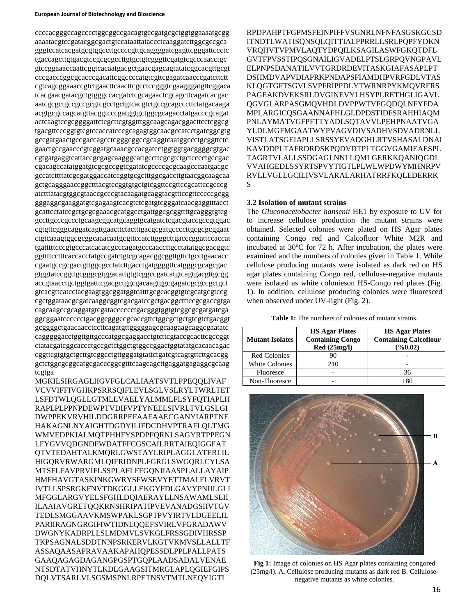#### **European Journal of Biotechnology and Bioscience**

ccccacgggccagcccctggcggccgacagtgccgatgcgctggtggaaaatgcgg aaaatacgtccgatacggcgactgtccataattataccctcaaggatcttggcgccgca gggtccatcacgatgcgtggccttgccccgttgcaggggatcgagttcgggattccctc tgaccagcttgtgacgtccgcgcgccttgtgctgtcgggttcgatgtcgcccaacctgc gtccggaaaccaattcggtcacaatgacgctgaacgagcagtatatcggcacgttgcgt cccgacccggcgcacccgacattcggccccatgtcgttcgagatcaacccgatcttctt cgtcagcggaaaccgtctgaacttcaacttcgcctccgggtcgaagggatgttcggaca tcacgaacgatacgctgtgggccacgatctcgcagaactcgcagcttcagatcacgac aatcgcgctgccgccgcgtcgcctgctgtcacgtctgccgcagcccttctatgacaaga acgtgcgccagcatgttacggtcccgatggtgctggcgcagacctatgacccgcagat actcaagtccgcggggattctcgcttcgtggtttggcaagcagacggacttcctcggcg tgacgttcccggtgtcgtccaccatcccgcagagtggcaacgccatcctgatcggcgtg gccgatgaactgccgaccagcctcgggcggccgcaggtcaatggccctgcggttctc gaactgccgaacccgtcggatgcaaacgccacgatcctggtggtgacggggcgtgac cgtgatgaggtcattaccgcgagcaagggcattgccttcgcgtctgctcccctgccgac cgacagccatatggatgtcgcgccggtcgatatcgccccgcgcaagcccaatgacgc gccatcttttatcgcgatggaccatccggtgcgctttggcgaccttgtaacggcaagcaa gctgcagggaaccggctttacgtccggtgtgctgtcggttccgttccgcattccgcccg atctttatacgtggcgtaaccgcccgtacaagatgcaggtacgtttccgttcccccgcgg gggaggcgaaggatgtcgagaagtcacgtctcgatgtcgggatcaacgaggtttacct gcattcctatccgctgcgcgaaacgcatggcctgattggcgcggttttgcagggtgtcg gccttgcccgccctgcaagcggcatgcaggtgcatgatctcgacgtaccgccgtggac cgtgttcgggcaggatcagttgaacttctactttgacgcgatgccccttgcgcgcggaat ctgtcaaagtggcgcggcaaacaatgcgttccatcttgggcttgacccggattccaccat tgatttttcccgtgcccatcacatcgcccagatgcccaaccttgcctatatggcgacggtc ggttttcctttcaccacctatgccgatctgtcgcagacggcggttgttctgcctgaacacc cgaatgccgcgactgttggcgcctatcttgacctgatggggttcatgggcgcagcgac gtggtatccggttgcgggcgtggacattgtgtcggccgatcatgtcagtgacgttgcgg accgtaacctgctggtgatttcgacgctggcgacaagtggcgagatcgcgccgctgct gtcacgttcatcctacgaagtggcggatggtcatttgcgcacggtgtcgcatgcgtccg cgctggataacgcgatcaaggcggtcgacgatccgctgacggctttccgcgaccgtga cagcaagccgcaggatgtcgatacccccctgacgggtggtgtcggcgcgatgatcga ggcggaatcccccctgacggcgggccgcaccgttctggcgctgctgtcgtctgacggt gcggggctgaacaacctccttcagatgttgggggagcgcaagaagcaggcgaatatc cagggggacctggttgttgcccatggcgaggacctgtcttcgtaccgcacttcgccggt ctatacgatcggcaccctgccgctctggctgtggccggactggtatatgcacaacagac cggttcgtgtgctgcttgtcggcctgttgggatgtattctgatcgtcagtgttcttgcacgg gctctggcgcggcatgcgacccggcgtttcaagcagcttgaggatgagaggcgcaag tcgtga

MGKILSIRGAGLIIGVFGLCALIAATSVTLPPEQQLIVAF VCVVIFFIVGHKPSRRSQIFLEVLSGLVSLRYLTWRLTET LSFDTWLQGLLGTMLLVAELYALMMLFLSYFQTIAPLH RAPLPLPPNPDEWPTVDIFVPTYNEELSIVRLTVLGSLGI DWPPEKVRVHILDDGRRPEFAAFAAECGANYIARPTNE HAKAGNLNYAIGHTDGDYILIFDCDHVPTRAFLQLTMG WMVEDPKIALMQTPHHFYSPDPFQRNLSAGYRTPPEGN LFYGVVQDGNDFWDATFFCGSCAILRRTAIEQIGGFAT QTVTEDAHTALKMQRLGWSTAYLRIPLAGGLATERLIL HIGQRVRWARGMLQIFRIDNPLFGRGLSWGQRLCYLSA MTSFLFAVPRVIFLSSPLAFLFFGQNIIAASPLALLAYAIP HMFHAVGTASKINKGWRYSFWSEVYETTMALFLVRVT IVTLLSPSRGKFNVTDKGGLLEKGYFDLGAVYPNIILGLI MFGGLARGVYELSFGHLDQIAERAYLLNSAWAMLSLII ILAAIAVGRETQQKRNSHRIPATIPVEVANADGSIIVTGV TEDLSMGGAAVKMSWPAKLSGPTPVYIRTVLDGEELIL PARIIRAGNGRGIFIWTIDNLQQEFSVIRLVFGRADAWV DWGNYKADRPLLSLMDMVLSVKGLFRSSGDIVHRSSP TKPSAGNALSDDTNNPSRKERVLKGTVKMVSLLALLTF ASSAQAASAPRAVAAKAPAHQPESSDLPPLPALLPATS GAAQAGAGDAGANGPGSPTGQPLAADSADALVENAE NTSDTATVHNYTLKDLGAAGSITMRGLAPLQGIEFGIPS DQLVTSARLVLSGSMSPNLRPETNSVTMTLNEQYIGTL

RPDPAHPTFGPMSFEINPIFFVSGNRLNFNFASGSKGCSD ITNDTLWATISQNSQLQITTIALPPRRLLSRLPQPFYDKN VRQHVTVPMVLAQTYDPQILKSAGILASWFGKQTDFL GVTFPVSSTIPQSGNAILIGVADELPTSLGRPQVNGPAVL ELPNPSDANATILVVTGRDRDEVITASKGIAFASAPLPT DSHMDVAPVDIAPRKPNDAPSFIAMDHPVRFGDLVTAS KLQGTGFTSGVLSVPFRIPPDLYTWRNRPYKMQVRFRS PAGEAKDVEKSRLDVGINEVYLHSYPLRETHGLIGAVL QGVGLARPASGMQVHDLDVPPWTVFGQDQLNFYFDA MPLARGICQSGAANNAFHLGLDPDSTIDFSRAHHIAQM PNLAYMATVGFPFTTYADLSQTAVVLPEHPNAATVGA YLDLMGFMGAATWYPVAGVDIVSADHVSDVADRNLL VISTLATSGEIAPLLSRSSYEVADGHLRTVSHASALDNAI KAVDDPLTAFRDRDSKPQDVDTPLTGGVGAMIEAESPL TAGRTVLALLSSDGAGLNNLLQMLGERKKQANIQGDL VVAHGEDLSSYRTSPVYTIGTLPLWLWPDWYMHNRPV RVLLVGLLGCILIVSVLARALARHATRRFKQLEDERRK S

#### **3.2 Isolation of mutant strains**

The *Gluconacetobacter hansenii* HE1 by exposure to UV for to increase cellulose production the mutant strains were obtained. Selected colonies were plated on HS Agar plates containing Congo red and Calcofluor White M2R and incubated at  $30^{\circ}$ C for 72 h. After incubation, the plates were examined and the numbers of colonies given in Table 1. While cellulose producing mutants were isolated as dark red on HS agar plates containing Congo red, cellulose-negative mutants were isolated as white colonieson HS-Congo red plates (Fig. 1). In addition, cellulose producing colonies were fluoresced when observed under UV-light (Fig. 2).

| <b>Table 1:</b> The numbers of colonies of mutant strains. |
|------------------------------------------------------------|
|------------------------------------------------------------|

| <b>Mutant Isolates</b> | <b>HS Agar Plates</b><br><b>Containing Congo</b><br>Red(25mg/l) | <b>HS Agar Plates</b><br><b>Containing Calcoflour</b><br>(9/60.02) |  |  |
|------------------------|-----------------------------------------------------------------|--------------------------------------------------------------------|--|--|
| <b>Red Colonies</b>    |                                                                 |                                                                    |  |  |
| <b>White Colonies</b>  | 210                                                             |                                                                    |  |  |
| Fluoresce              |                                                                 | 36                                                                 |  |  |
| Non-Fluoresce          |                                                                 |                                                                    |  |  |



**Fig 1:** Image of colonies on HS Agar plates containing congored (25mg/l). A. Cellulose producing mutants as dark red B. Cellulosenegative mutants as white colonies.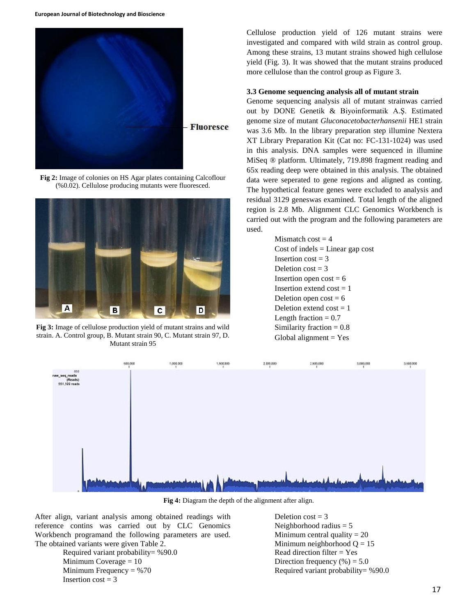

**Fig 2:** Image of colonies on HS Agar plates containing Calcoflour (%0.02). Cellulose producing mutants were fluoresced.



**Fig 3:** Image of cellulose production yield of mutant strains and wild strain. A. Control group, B. Mutant strain 90, C. Mutant strain 97, D. Mutant strain 95

Cellulose production yield of 126 mutant strains were investigated and compared with wild strain as control group. Among these strains, 13 mutant strains showed high cellulose yield (Fig. 3). It was showed that the mutant strains produced more cellulose than the control group as Figure 3.

### **3.3 Genome sequencing analysis all of mutant strain**

Genome sequencing analysis all of mutant strainwas carried out by DONE Genetik & Biyoinformatik A.Ş. Estimated genome size of mutant *Gluconacetobacterhansenii* HE1 strain was 3.6 Mb. In the library preparation step illumine Nextera XT Library Preparation Kit (Cat no: FC-131-1024) was used in this analysis. DNA samples were sequenced in illumine MiSeq ® platform. Ultimately, 719.898 fragment reading and 65x reading deep were obtained in this analysis. The obtained data were seperated to gene regions and aligned as conting. The hypothetical feature genes were excluded to analysis and residual 3129 geneswas examined. Total length of the aligned region is 2.8 Mb. Alignment CLC Genomics Workbench is carried out with the program and the following parameters are used.

> Mismatch  $cost = 4$ Cost of indels  $=$  Linear gap cost Insertion  $\cos t = 3$ Deletion  $\cos t = 3$ Insertion open  $cost = 6$ Insertion extend  $cost = 1$ Deletion open  $cost = 6$ Deletion extend  $cost = 1$ Length fraction  $= 0.7$ Similarity fraction  $= 0.8$ Global alignment  $=$  Yes



**Fig 4:** Diagram the depth of the alignment after align.

After align, variant analysis among obtained readings with reference contins was carried out by CLC Genomics Workbench programand the following parameters are used. The obtained variants were given Table 2.

> Required variant probability= %90.0 Minimum Coverage = 10 Minimum Frequency  $= %70$ Insertion  $\text{cost} = 3$

Deletion  $cost = 3$ Neighborhood radius  $= 5$ Minimum central quality  $= 20$ Minimum neighborhood  $Q = 15$ Read direction filter = Yes Direction frequency  $(\%)=5.0$ Required variant probability= %90.0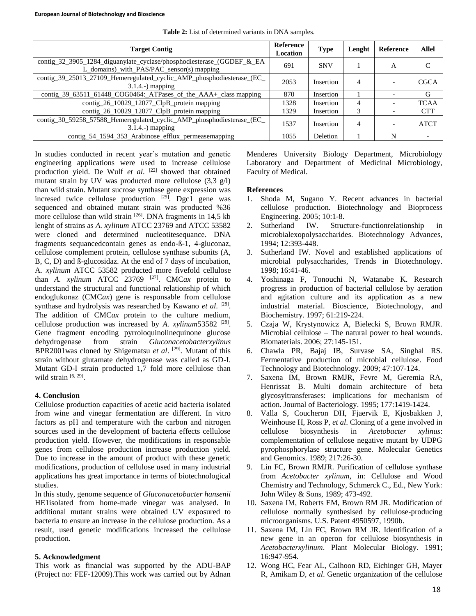| <b>Target Contig</b>                                                                                               |  | <b>Type</b> | Lenght | Reference | <b>Allel</b> |
|--------------------------------------------------------------------------------------------------------------------|--|-------------|--------|-----------|--------------|
| contig_32_3905_1284_diguanylate_cyclase/phosphodiesterase_(GGDEF_&_EA<br>L_domains)_with_PAS/PAC_sensor(s) mapping |  | <b>SNV</b>  |        | А         |              |
| contig_39_25013_27109_Hemeregulated_cyclic_AMP_phosphodiesterase_(EC_<br>$3.1.4.$ - $)$ mapping                    |  | Insertion   | 4      |           | <b>CGCA</b>  |
| contig_39_63511_61448_COG0464:_ATPases_of_the_AAA+_class mapping                                                   |  | Insertion   |        |           | G            |
| contig_26_10029_12077_ClpB_protein mapping                                                                         |  | Insertion   | 4      |           | <b>TCAA</b>  |
| contig_26_10029_12077_ClpB_protein mapping                                                                         |  | Insertion   | 3      |           | <b>CTT</b>   |
| contig_30_59258_57588_Hemeregulated_cyclic_AMP_phosphodiesterase_(EC_<br>$3.1.4.$ -) mapping                       |  | Insertion   | 4      |           | <b>ATCT</b>  |
| contig_54_1594_353_Arabinose_efflux_permeasemapping                                                                |  | Deletion    |        | N         |              |

**Table 2:** List of determined variants in DNA samples.

In studies conducted in recent year's mutation and genetic engineering applications were used to increase cellulose production yield. De Wulf *et al*. [22] showed that obtained mutant strain by UV was producted more cellulose  $(3.3 \text{ g/l})$ than wild strain. Mutant sucrose synthase gene expression was incresed twice cellulose production  $[25]$ . Dgc1 gene was sequenced and obtained mutant strain was producted %36 more cellulose than wild strain [26]. DNA fragments in 14,5 kb lenght of strains as *A. xylinum* ATCC 23769 and ATCC 53582 were cloned and determined nucleotitesequance. DNA fragments sequancedcontain genes as endo-ß-1, 4-gluconaz, cellulose complement protein, cellulose synthase subunits (A, B, C, D) and ß-glucosidaz. At the end of 7 days of incubation, A*. xylinum* ATCC 53582 producted more fivefold cellulose than *A. xylinum* ATCC 23769 [27]. CMC*ax* protein to understand the structural and functional relationship of which endoglukonaz (CMC*ax*) gene is responsable from cellulose synthase and hydrolysis was researched by Kawano et al. <sup>[28]</sup>. The addition of CMC*ax* protein to the culture medium, cellulose production was increased by *A. xylinum*53582<sup>[28]</sup>. Gene fragment encoding pyrroloquinolinequinone glucose dehydrogenase from strain *Gluconacetobacterxylinus* BPR2001 was cloned by Shigematsu *et al.* <sup>[29]</sup>. Mutant of this strain without glutamate dehydrogenase was called as GD-I. Mutant GD-I strain producted 1,7 fold more cellulose than wild strain  $[6, 29]$ .

# **4. Conclusion**

Cellulose production capacities of acetic acid bacteria isolated from wine and vinegar fermentation are different. In vitro factors as pH and temperature with the carbon and nitrogen sources used in the development of bacteria effects cellulose production yield. However, the modifications in responsable genes from cellulose production increase production yield. Due to increase in the amount of product with these genetic modifications, production of cellulose used in many industrial applications has great importance in terms of biotechnological studies.

In this study, genome sequence of *Gluconacetobacter hansenii*  HE1isolated from home-made vinegar was analysed. In additional mutant strains were obtained UV exposured to bacteria to ensure an increase in the cellulose production. As a result, used genetic modifications increased the cellulose production.

# **5. Acknowledgment**

This work as financial was supported by the ADU-BAP (Project no: FEF-12009).This work was carried out by Adnan Menderes University Biology Department, Microbiology Laboratory and Department of Medicinal Microbiology, Faculty of Medical.

# **References**

- 1. Shoda M, Sugano Y. Recent advances in bacterial cellulose production. Biotechnology and Bioprocess Engineering. 2005; 10:1-8.
- 2. Sutherland IW. Structure-functionrelationship in microbialexopolysaccharides. Biotechnology Advances, 1994; 12:393-448.
- 3. Sutherland IW. Novel and established applications of microbial polysaccharides, Trends in Biotechnology. 1998; 16:41-46.
- 4. Yoshinaga F, Tonouchi N, Watanabe K. Research progress in production of bacterial cellulose by aeration and agitation culture and its application as a new industrial material. Bioscience, Biotechnology, and Biochemistry. 1997; 61:219-224.
- 5. Czaja W, Krystynowicz A, Bielecki S, Brown RMJR. Microbial cellulose – The natural power to heal wounds. Biomaterials. 2006; 27:145-151.
- 6. Chawla PR, Bajaj IB, Survase SA, Singhal RS. Fermentative production of microbial cellulose. Food Technology and Biotechnology. 2009; 47:107-124.
- 7. Saxena IM, Brown RMJR, Fevre M, Geremia RA, Henrissat B. Multi domain architecture of beta glycosyltransferases: implications for mechanism of action. Journal of Bacteriology. 1995; 177:1419-1424.
- 8. Valla S, Coucheron DH, Fjaervik E, Kjosbakken J, Weinhouse H, Ross P, *et al*. Cloning of a gene involved in cellulose biosynthesis in *Acetobacter xylinus*: complementation of cellulose negative mutant by UDPG pyrophosphorylase structure gene. Molecular Genetics and Genomics. 1989; 217:26-30.
- 9. Lin FC, Brown RMJR. Purification of cellulose synthase from *Acetobacter xylinum*, in: Cellulose and Wood Chemistry and Technology, Schmerck C., Ed., New York: John Wiley & Sons, 1989; 473-492.
- 10. Saxena IM, Roberts EM, Brown RM JR. Modification of cellulose normally synthesised by cellulose-producing microorganisms. U.S. Patent 4950597, 1990b.
- 11. Saxena IM, Lin FC, Brown RM JR. Identification of a new gene in an operon for cellulose biosynthesis in *Acetobacterxylinum*. Plant Molecular Biology. 1991; 16:947-954.
- 12. Wong HC, Fear AL, Calhoon RD, Eichinger GH, Mayer R, Amikam D, *et al*. Genetic organization of the cellulose